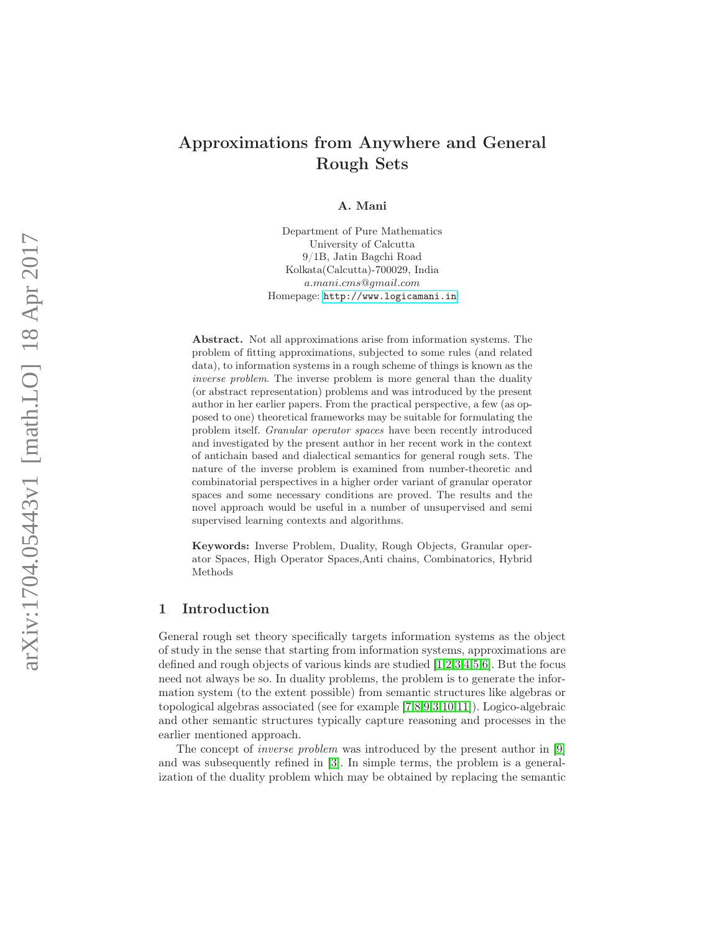# Approximations from Anywhere and General Rough Sets

A. Mani

Department of Pure Mathematics University of Calcutta 9/1B, Jatin Bagchi Road Kolkata(Calcutta)-700029, India a.mani.cms @gmail.com Homepage: <http://www.logicamani.in>

Abstract. Not all approximations arise from information systems. The problem of fitting approximations, subjected to some rules (and related data), to information systems in a rough scheme of things is known as the inverse problem. The inverse problem is more general than the duality (or abstract representation) problems and was introduced by the present author in her earlier papers. From the practical perspective, a few (as opposed to one) theoretical frameworks may be suitable for formulating the problem itself. Granular operator spaces have been recently introduced and investigated by the present author in her recent work in the context of antichain based and dialectical semantics for general rough sets. The nature of the inverse problem is examined from number-theoretic and combinatorial perspectives in a higher order variant of granular operator spaces and some necessary conditions are proved. The results and the novel approach would be useful in a number of unsupervised and semi supervised learning contexts and algorithms.

Keywords: Inverse Problem, Duality, Rough Objects, Granular operator Spaces, High Operator Spaces,Anti chains, Combinatorics, Hybrid Methods

# 1 Introduction

General rough set theory specifically targets information systems as the object of study in the sense that starting from information systems, approximations are defined and rough objects of various kinds are studied [\[1,](#page-18-0)[2,](#page-18-1)[3,](#page-18-2)[4,](#page-18-3)[5,](#page-18-4)[6\]](#page-18-5). But the focus need not always be so. In duality problems, the problem is to generate the information system (to the extent possible) from semantic structures like algebras or topological algebras associated (see for example [\[7](#page-19-0)[,8,](#page-19-1)[9,](#page-19-2)[3,](#page-18-2)[10,](#page-19-3)[11\]](#page-19-4)). Logico-algebraic and other semantic structures typically capture reasoning and processes in the earlier mentioned approach.

The concept of *inverse problem* was introduced by the present author in [\[9\]](#page-19-2) and was subsequently refined in [\[3\]](#page-18-2). In simple terms, the problem is a generalization of the duality problem which may be obtained by replacing the semantic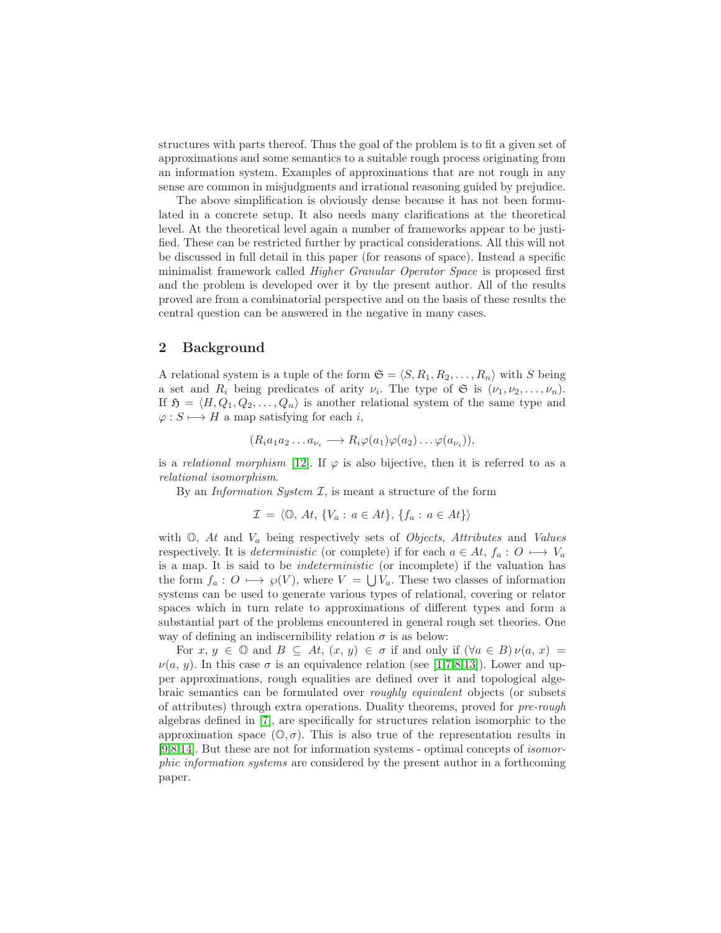structures with parts thereof. Thus the goal of the problem is to fit a given set of approximations and some semantics to a suitable rough process originating from an information system. Examples of approximations that are not rough in any sense are common in misjudgments and irrational reasoning guided by prejudice.

The above simplification is obviously dense because it has not been formulated in a concrete setup. It also needs many clarifications at the theoretical level. At the theoretical level again a number of frameworks appear to be justified. These can be restricted further by practical considerations. All this will not be discussed in full detail in this paper (for reasons of space). Instead a specific minimalist framework called Higher Granular Operator Space is proposed first and the problem is developed over it by the present author. All of the results proved are from a combinatorial perspective and on the basis of these results the central question can be answered in the negative in many cases.

## 2 Background

A relational system is a tuple of the form  $\mathfrak{S} = \langle S, R_1, R_2, \ldots, R_n \rangle$  with S being a set and  $R_i$  being predicates of arity  $\nu_i$ . The type of  $\mathfrak{S}$  is  $(\nu_1, \nu_2, \ldots, \nu_n)$ . If  $\mathfrak{H} = \langle H, Q_1, Q_2, \ldots, Q_n \rangle$  is another relational system of the same type and  $\varphi: S \longrightarrow H$  a map satisfying for each i,

$$
(R_i a_1 a_2 \dots a_{\nu_i} \longrightarrow R_i \varphi(a_1) \varphi(a_2) \dots \varphi(a_{\nu_i})),
$$

is a relational morphism [\[12\]](#page-19-5). If  $\varphi$  is also bijective, then it is referred to as a relational isomorphism.

By an *Information System I*, is meant a structure of the form

$$
\mathcal{I} = \langle \mathbb{O}, \, At, \, \{V_a : a \in At\}, \, \{f_a : a \in At\} \rangle
$$

with  $\mathbb{O}$ , At and  $V_a$  being respectively sets of *Objects*, Attributes and Values respectively. It is *deterministic* (or complete) if for each  $a \in At$ ,  $f_a : O \longmapsto V_a$ is a map. It is said to be indeterministic (or incomplete) if the valuation has the form  $f_a: O \mapsto \wp(V)$ , where  $V = \bigcup V_a$ . These two classes of information systems can be used to generate various types of relational, covering or relator spaces which in turn relate to approximations of different types and form a substantial part of the problems encountered in general rough set theories. One way of defining an indiscernibility relation  $\sigma$  is as below:

For  $x, y \in \mathbb{O}$  and  $B \subseteq At, (x, y) \in \sigma$  if and only if  $(\forall a \in B) \nu(a, x) =$  $\nu(a, y)$ . In this case  $\sigma$  is an equivalence relation (see [\[1,](#page-18-0)[7,](#page-19-0)[8,](#page-19-1)[13\]](#page-19-6)). Lower and upper approximations, rough equalities are defined over it and topological algebraic semantics can be formulated over roughly equivalent objects (or subsets of attributes) through extra operations. Duality theorems, proved for pre-rough algebras defined in [\[7\]](#page-19-0), are specifically for structures relation isomorphic to the approximation space  $(0, \sigma)$ . This is also true of the representation results in [\[9,](#page-19-2)[8](#page-19-1)[,14\]](#page-19-7). But these are not for information systems - optimal concepts of isomorphic information systems are considered by the present author in a forthcoming paper.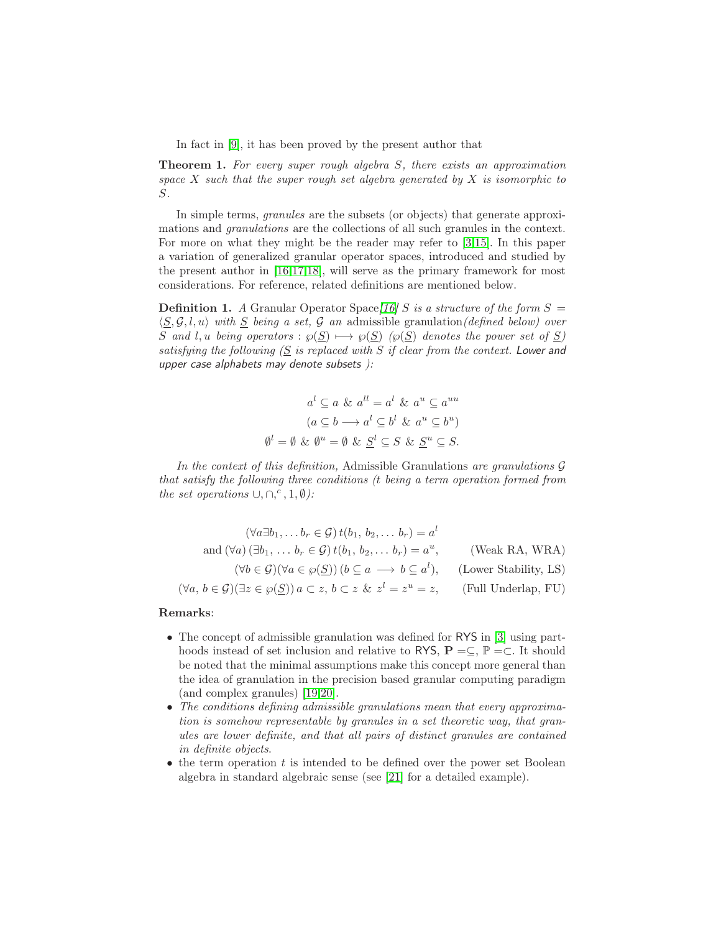In fact in [\[9\]](#page-19-2), it has been proved by the present author that

Theorem 1. For every super rough algebra S, there exists an approximation space  $X$  such that the super rough set algebra generated by  $X$  is isomorphic to S.

In simple terms, granules are the subsets (or objects) that generate approximations and granulations are the collections of all such granules in the context. For more on what they might be the reader may refer to [\[3,](#page-18-2)[15\]](#page-19-8). In this paper a variation of generalized granular operator spaces, introduced and studied by the present author in [\[16](#page-19-9)[,17,](#page-19-10)[18\]](#page-19-11), will serve as the primary framework for most considerations. For reference, related definitions are mentioned below.

<span id="page-2-0"></span>**Definition 1.** A Granular Operator Space [\[16\]](#page-19-9) S is a structure of the form  $S =$  $\langle S, \mathcal{G}, l, u \rangle$  with S being a set, G an admissible granulation(defined below) over S and l, u being operators :  $\wp(\underline{S}) \mapsto \wp(\underline{S})$  ( $\wp(\underline{S})$  denotes the power set of  $\underline{S}$ ) satisfying the following  $(S$  is replaced with S if clear from the context. Lower and upper case alphabets may denote subsets ):

$$
a^{l} \subseteq a \& a^{ll} = a^{l} \& a^{u} \subseteq a^{uu}
$$

$$
(a \subseteq b \longrightarrow a^{l} \subseteq b^{l} \& a^{u} \subseteq b^{u})
$$

$$
\emptyset^{l} = \emptyset \& \emptyset^{u} = \emptyset \& \underline{S}^{l} \subseteq S \& \underline{S}^{u} \subseteq S.
$$

In the context of this definition, Admissible Granulations are granulations  $\mathcal G$ that satisfy the following three conditions (t being a term operation formed from the set operations  $\cup, \cap,^c, 1, \emptyset$ :

$$
(\forall a \exists b_1, \dots b_r \in \mathcal{G}) t(b_1, b_2, \dots b_r) = a^l
$$
  
and  $(\forall a) (\exists b_1, \dots b_r \in \mathcal{G}) t(b_1, b_2, \dots b_r) = a^u$ , (Weak RA, WRA)  

$$
(\forall b \in \mathcal{G}) (\forall a \in \wp(\mathcal{S})) (b \subseteq a \longrightarrow b \subseteq a^l),
$$
 (Lower Stability, LS)  

$$
(\forall a, b \in \mathcal{G}) (\exists z \in \wp(\mathcal{S})) a \subset z, b \subset z \& z^l = z^u = z,
$$
 (Full Underlap, FU)

#### Remarks:

- The concept of admissible granulation was defined for RYS in [\[3\]](#page-18-2) using parthoods instead of set inclusion and relative to RYS,  $P = \subset$ ,  $\mathbb{P} = \subset$ . It should be noted that the minimal assumptions make this concept more general than the idea of granulation in the precision based granular computing paradigm (and complex granules) [\[19,](#page-19-12)[20\]](#page-19-13).
- The conditions defining admissible granulations mean that every approximation is somehow representable by granules in a set theoretic way, that granules are lower definite, and that all pairs of distinct granules are contained in definite objects.
- $\bullet$  the term operation t is intended to be defined over the power set Boolean algebra in standard algebraic sense (see [\[21\]](#page-19-14) for a detailed example).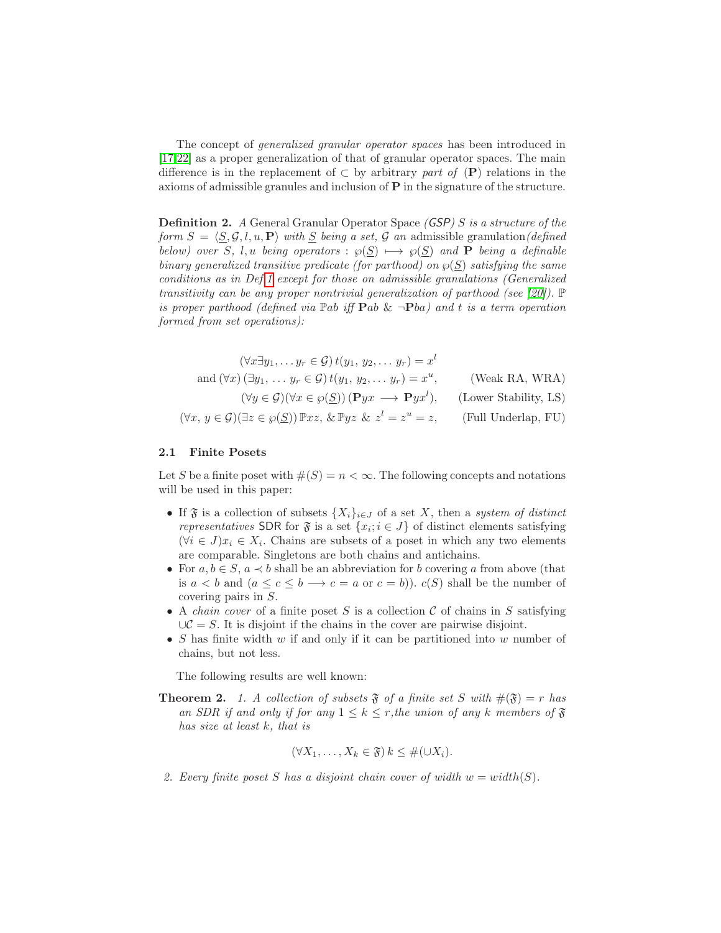The concept of generalized granular operator spaces has been introduced in [\[17](#page-19-10)[,22\]](#page-19-15) as a proper generalization of that of granular operator spaces. The main difference is in the replacement of  $\subset$  by arbitrary part of  $(P)$  relations in the axioms of admissible granules and inclusion of P in the signature of the structure.

**Definition 2.** A General Granular Operator Space  $(GSP) S$  is a structure of the form  $S = \langle S, \mathcal{G}, l, u, P \rangle$  with S being a set, G an admissible granulation(defined below) over S, l, u being operators :  $\wp(S) \mapsto \wp(S)$  and P being a definable binary generalized transitive predicate (for parthood) on  $\wp(S)$  satisfying the same conditions as in Def[.1](#page-2-0) except for those on admissible granulations (Generalized transitivity can be any proper nontrivial generalization of parthood (see [\[20\]](#page-19-13)).  $\mathbb{P}$ is proper parthood (defined via Pab iff  $\mathbf{P}ab \& \neg \mathbf{P}ba$ ) and t is a term operation formed from set operations):

$$
(\forall x \exists y_1, \dots y_r \in \mathcal{G}) t(y_1, y_2, \dots y_r) = x^l
$$
  
and 
$$
(\forall x) (\exists y_1, \dots y_r \in \mathcal{G}) t(y_1, y_2, \dots y_r) = x^u,
$$
 (Weak RA, WRA)  

$$
(\forall y \in \mathcal{G}) (\forall x \in \wp(\mathcal{S})) (\mathbf{P} yx \longrightarrow \mathbf{P} yx^l),
$$
 (Lower Stability, LS)  

$$
(\forall x, y \in \mathcal{G}) (\exists z \in \wp(\mathcal{S})) \mathbb{P} xz, \& \mathbb{P} yz \& z^l = z^u = z,
$$
 (Full Underlap, FU)

#### <span id="page-3-0"></span>2.1 Finite Posets

Let S be a finite poset with  $\#(S) = n < \infty$ . The following concepts and notations will be used in this paper:

- If  $\mathfrak F$  is a collection of subsets  $\{X_i\}_{i\in J}$  of a set X, then a system of distinct representatives SDR for  $\mathfrak{F}$  is a set  $\{x_i; i \in J\}$  of distinct elements satisfying  $(\forall i \in J) x_i \in X_i$ . Chains are subsets of a poset in which any two elements are comparable. Singletons are both chains and antichains.
- For  $a, b \in S$ ,  $a \prec b$  shall be an abbreviation for b covering a from above (that is  $a < b$  and  $(a \le c \le b \rightarrow c = a$  or  $c = b)$ ).  $c(S)$  shall be the number of covering pairs in S.
- A *chain cover* of a finite poset S is a collection C of chains in S satisfying  $\cup \mathcal{C} = S$ . It is disjoint if the chains in the cover are pairwise disjoint.
- S has finite width  $w$  if and only if it can be partitioned into  $w$  number of chains, but not less.

The following results are well known:

**Theorem 2.** 1. A collection of subsets  $\mathfrak{F}$  of a finite set S with  $\#(\mathfrak{F}) = r$  has an SDR if and only if for any  $1 \leq k \leq r$ , the union of any k members of  $\mathfrak F$ has size at least k, that is

$$
(\forall X_1,\ldots,X_k\in\mathfrak{F})\,k\leq\#(\cup X_i).
$$

2. Every finite poset S has a disjoint chain cover of width  $w = width(S)$ .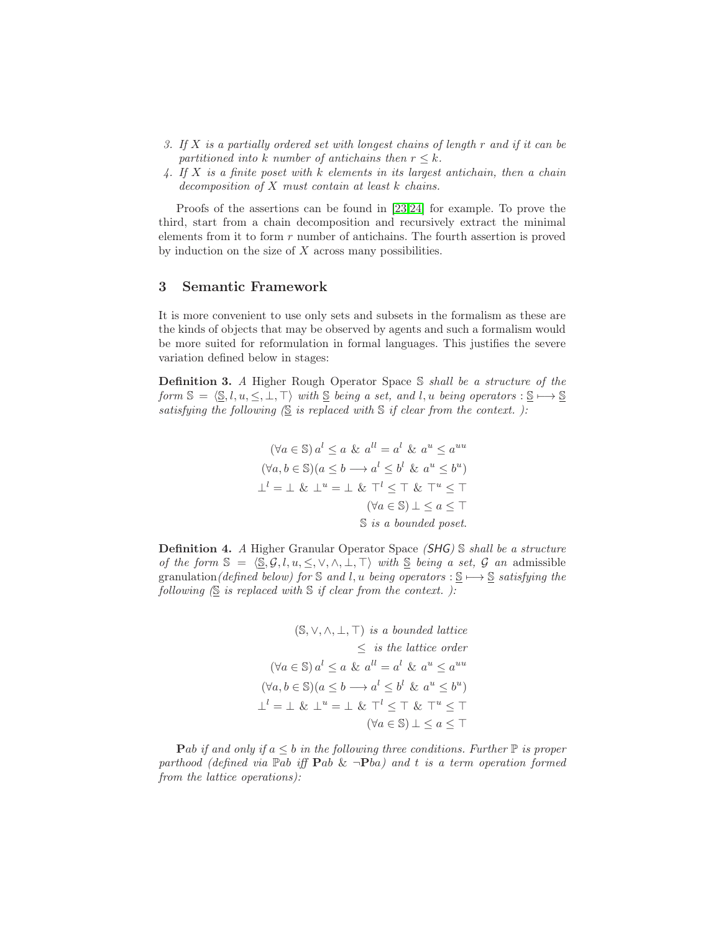- 3. If X is a partially ordered set with longest chains of length r and if it can be partitioned into k number of antichains then  $r \leq k$ .
- 4. If X is a finite poset with  $k$  elements in its largest antichain, then a chain decomposition of X must contain at least  $k$  chains.

Proofs of the assertions can be found in [\[23](#page-19-16)[,24\]](#page-19-17) for example. To prove the third, start from a chain decomposition and recursively extract the minimal elements from it to form  $r$  number of antichains. The fourth assertion is proved by induction on the size of  $X$  across many possibilities.

# 3 Semantic Framework

It is more convenient to use only sets and subsets in the formalism as these are the kinds of objects that may be observed by agents and such a formalism would be more suited for reformulation in formal languages. This justifies the severe variation defined below in stages:

Definition 3. A Higher Rough Operator Space S shall be a structure of the form  $\mathbb{S} = \langle \mathbb{S}, l, u, \leq, \perp, \top \rangle$  with  $\mathbb{S}$  being a set, and l, u being operators :  $\mathbb{S} \longmapsto \mathbb{S}$ satisfying the following  $(S$  is replaced with  $S$  if clear from the context. ):

$$
(\forall a \in \mathbb{S}) a^{l} \le a \& a^{ll} = a^{l} \& a^{u} \le a^{uu}
$$

$$
(\forall a, b \in \mathbb{S})(a \le b \longrightarrow a^{l} \le b^{l} \& a^{u} \le b^{u})
$$

$$
\perp^{l} = \perp \& \perp^{u} = \perp \& \perp^{l} \le \perp \& \perp^{u} \le \perp
$$

$$
(\forall a \in \mathbb{S}) \perp \le a \le \perp
$$

$$
\mathbb{S} \text{ is a bounded poset.}
$$

Definition 4. A Higher Granular Operator Space (SHG) S shall be a structure of the form  $\mathbb{S} = \langle \mathbb{S}, \mathcal{G}, l, u, \leq, \vee, \wedge, \bot, \top \rangle$  with  $\mathbb{S}$  being a set, G an admissible granulation(defined below) for S and l, u being operators :  $\mathcal{S} \longmapsto \mathcal{S}$  satisfying the following  $(S$  is replaced with  $S$  if clear from the context.  $)$ :

$$
(\mathbb{S}, \vee, \wedge, \bot, \top) \text{ is a bounded lattice}
$$
  
\n
$$
\leq \text{ is the lattice order}
$$
  
\n
$$
(\forall a \in \mathbb{S}) a^{l} \leq a \& a^{ll} = a^{l} \& a^{u} \leq a^{uu}
$$
  
\n
$$
(\forall a, b \in \mathbb{S})(a \leq b \longrightarrow a^{l} \leq b^{l} \& a^{u} \leq b^{u})
$$
  
\n
$$
\bot^{l} = \bot \& \bot^{u} = \bot \& \top^{l} \leq \top \& \top^{u} \leq \top
$$
  
\n
$$
(\forall a \in \mathbb{S}) \bot \leq a \leq \top
$$

Pab if and only if  $a \leq b$  in the following three conditions. Further  $\mathbb P$  is proper parthood (defined via Pab iff Pab  $\& \neg Pba$ ) and t is a term operation formed from the lattice operations):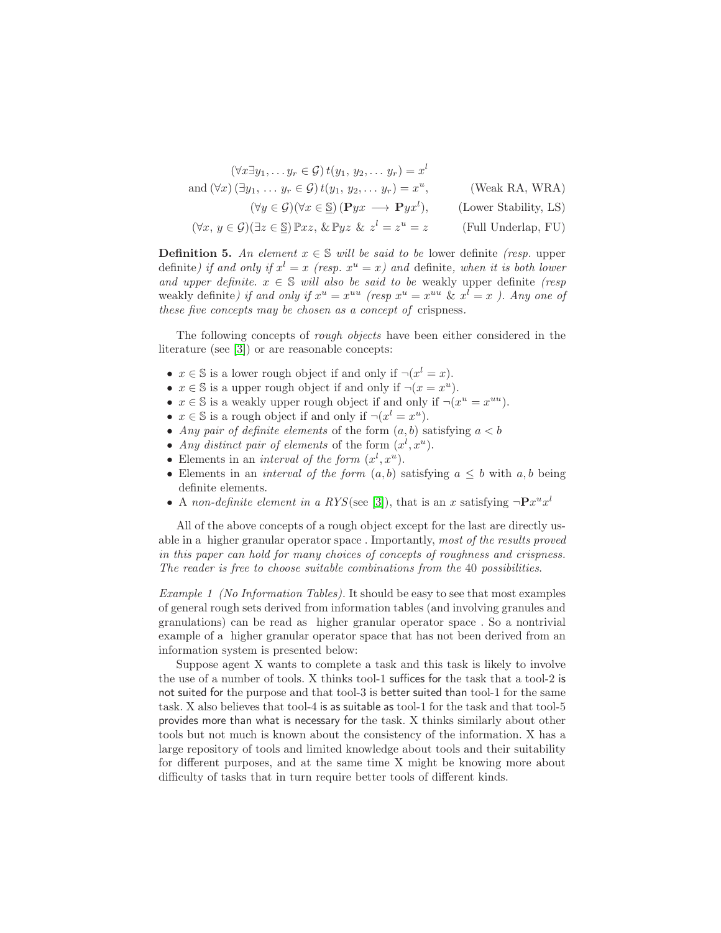$$
(\forall x \exists y_1, \dots y_r \in \mathcal{G}) t(y_1, y_2, \dots y_r) = x^l
$$
  
and 
$$
(\forall x) (\exists y_1, \dots y_r \in \mathcal{G}) t(y_1, y_2, \dots y_r) = x^u,
$$
 (Weak RA, WRA)  

$$
(\forall y \in \mathcal{G}) (\forall x \in \underline{\mathbb{S}}) (\mathbf{P} y x \longrightarrow \mathbf{P} y x^l),
$$
 (Lower Stability, LS)  

$$
(\forall x, y \in \mathcal{G}) (\exists z \in \underline{\mathbb{S}}) \mathbb{P} x z, \& \mathbb{P} y z \& z^l = z^u = z
$$
 (Full Underlap, FU)

**Definition 5.** An element  $x \in \mathbb{S}$  will be said to be lower definite (resp. upper definite) if and only if  $x^l = x$  (resp.  $x^u = x$ ) and definite, when it is both lower and upper definite.  $x \in \mathbb{S}$  will also be said to be weakly upper definite (resp weakly definite) if and only if  $x^u = x^{uu}$  (resp  $x^u = x^{uu}$  &  $x^l = x$ ). Any one of these five concepts may be chosen as a concept of crispness.

The following concepts of rough objects have been either considered in the literature (see [\[3\]](#page-18-2)) or are reasonable concepts:

- $x \in \mathbb{S}$  is a lower rough object if and only if  $\neg(x^l = x)$ .
- $x \in \mathbb{S}$  is a upper rough object if and only if  $\neg(x = x^u)$ .
- $x \in \mathbb{S}$  is a weakly upper rough object if and only if  $\neg(x^u = x^{uu})$ .
- $x \in \mathbb{S}$  is a rough object if and only if  $\neg(x^l = x^u)$ .
- Any pair of definite elements of the form  $(a, b)$  satisfying  $a < b$
- Any distinct pair of elements of the form  $(x^l, x^u)$ .
- Elements in an *interval of the form*  $(x^l, x^u)$ .
- Elements in an *interval of the form*  $(a, b)$  satisfying  $a \leq b$  with  $a, b$  being definite elements.
- A non-definite element in a RYS(see [\[3\]](#page-18-2)), that is an x satisfying  $\neg \mathbf{P} x^u x^l$

All of the above concepts of a rough object except for the last are directly usable in a higher granular operator space . Importantly, most of the results proved in this paper can hold for many choices of concepts of roughness and crispness. The reader is free to choose suitable combinations from the 40 possibilities.

Example 1 (No Information Tables). It should be easy to see that most examples of general rough sets derived from information tables (and involving granules and granulations) can be read as higher granular operator space . So a nontrivial example of a higher granular operator space that has not been derived from an information system is presented below:

Suppose agent X wants to complete a task and this task is likely to involve the use of a number of tools. X thinks tool-1 suffices for the task that a tool-2 is not suited for the purpose and that tool-3 is better suited than tool-1 for the same task. X also believes that tool-4 is as suitable as tool-1 for the task and that tool-5 provides more than what is necessary for the task. X thinks similarly about other tools but not much is known about the consistency of the information. X has a large repository of tools and limited knowledge about tools and their suitability for different purposes, and at the same time X might be knowing more about difficulty of tasks that in turn require better tools of different kinds.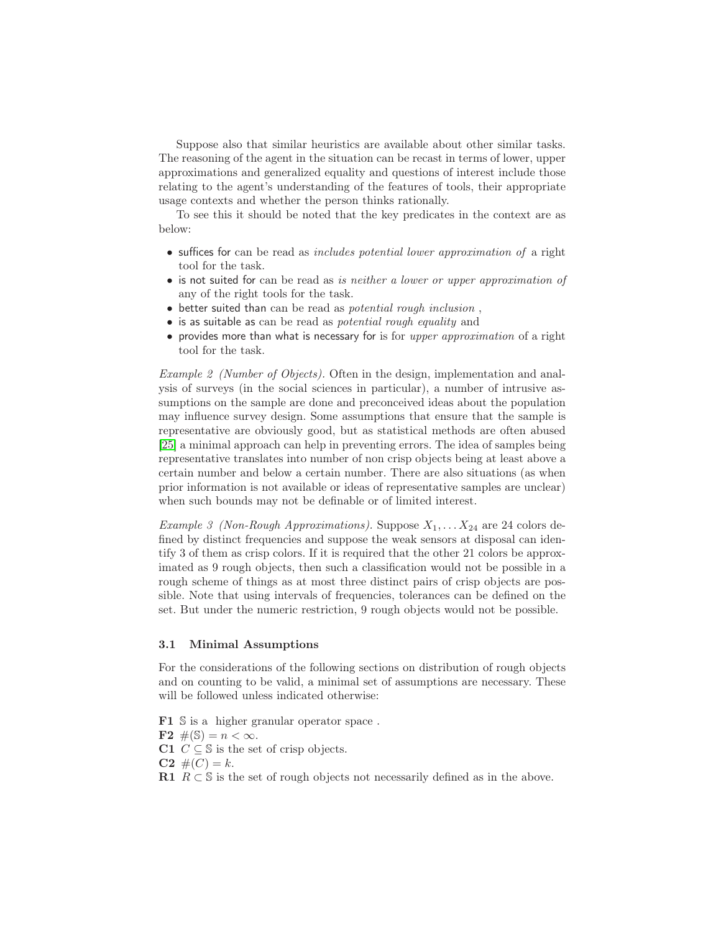Suppose also that similar heuristics are available about other similar tasks. The reasoning of the agent in the situation can be recast in terms of lower, upper approximations and generalized equality and questions of interest include those relating to the agent's understanding of the features of tools, their appropriate usage contexts and whether the person thinks rationally.

To see this it should be noted that the key predicates in the context are as below:

- suffices for can be read as *includes potential lower approximation of* a right tool for the task.
- is not suited for can be read as is neither a lower or upper approximation of any of the right tools for the task.
- better suited than can be read as potential rough inclusion ,
- is as suitable as can be read as *potential rough equality* and
- provides more than what is necessary for is for *upper approximation* of a right tool for the task.

Example 2 (Number of Objects). Often in the design, implementation and analysis of surveys (in the social sciences in particular), a number of intrusive assumptions on the sample are done and preconceived ideas about the population may influence survey design. Some assumptions that ensure that the sample is representative are obviously good, but as statistical methods are often abused [\[25\]](#page-19-18) a minimal approach can help in preventing errors. The idea of samples being representative translates into number of non crisp objects being at least above a certain number and below a certain number. There are also situations (as when prior information is not available or ideas of representative samples are unclear) when such bounds may not be definable or of limited interest.

*Example 3 (Non-Rough Approximations).* Suppose  $X_1, \ldots X_{24}$  are 24 colors defined by distinct frequencies and suppose the weak sensors at disposal can identify 3 of them as crisp colors. If it is required that the other 21 colors be approximated as 9 rough objects, then such a classification would not be possible in a rough scheme of things as at most three distinct pairs of crisp objects are possible. Note that using intervals of frequencies, tolerances can be defined on the set. But under the numeric restriction, 9 rough objects would not be possible.

#### <span id="page-6-0"></span>3.1 Minimal Assumptions

For the considerations of the following sections on distribution of rough objects and on counting to be valid, a minimal set of assumptions are necessary. These will be followed unless indicated otherwise:

- F1 S is a higher granular operator space .
- F2  $\#(\mathbb{S}) = n < \infty$ .
- C1  $C \subseteq \mathbb{S}$  is the set of crisp objects.
- $C2 \#(C) = k.$
- R1  $R \subset \mathbb{S}$  is the set of rough objects not necessarily defined as in the above.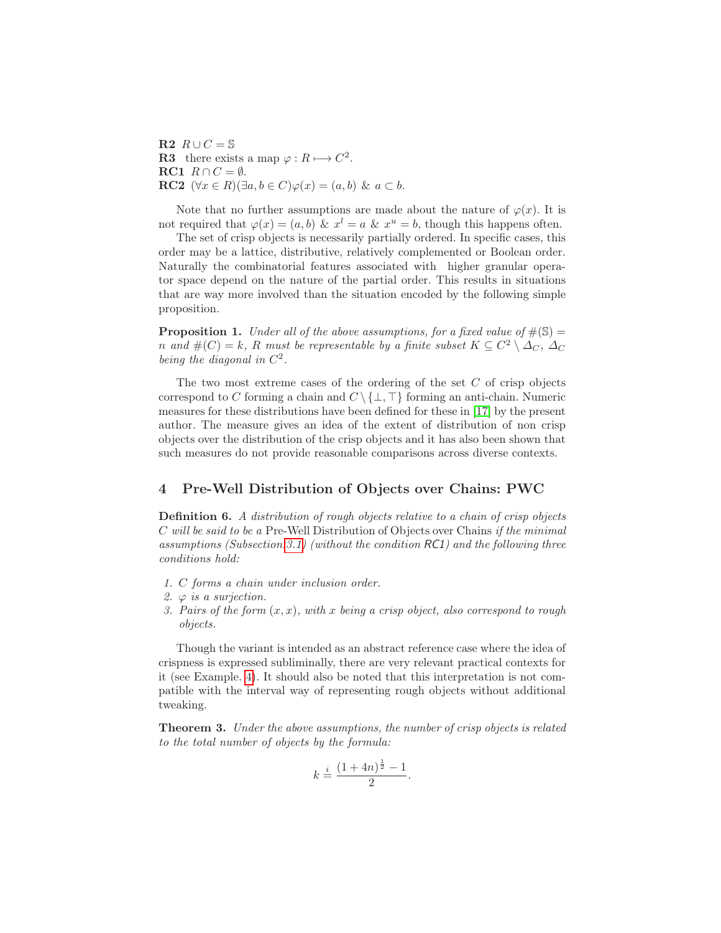R2  $R \cup C = \mathbb{S}$ **R3** there exists a map  $\varphi : R \longmapsto C^2$ . RC1  $R \cap C = \emptyset$ . RC2  $(\forall x \in R)(\exists a, b \in C)\varphi(x) = (a, b) \& a \subset b.$ 

Note that no further assumptions are made about the nature of  $\varphi(x)$ . It is not required that  $\varphi(x) = (a, b) \& x^l = a \& x^u = b$ , though this happens often.

The set of crisp objects is necessarily partially ordered. In specific cases, this order may be a lattice, distributive, relatively complemented or Boolean order. Naturally the combinatorial features associated with higher granular operator space depend on the nature of the partial order. This results in situations that are way more involved than the situation encoded by the following simple proposition.

**Proposition 1.** Under all of the above assumptions, for a fixed value of  $\#(\mathbb{S}) =$ n and  $\#(C) = k$ , R must be representable by a finite subset  $K \subseteq C^2 \setminus \Delta_C$ ,  $\Delta_C$ being the diagonal in  $C^2$ .

The two most extreme cases of the ordering of the set  $C$  of crisp objects correspond to C forming a chain and  $C \setminus \{\perp,\top\}$  forming an anti-chain. Numeric measures for these distributions have been defined for these in [\[17\]](#page-19-10) by the present author. The measure gives an idea of the extent of distribution of non crisp objects over the distribution of the crisp objects and it has also been shown that such measures do not provide reasonable comparisons across diverse contexts.

# 4 Pre-Well Distribution of Objects over Chains: PWC

Definition 6. A distribution of rough objects relative to a chain of crisp objects C will be said to be a Pre-Well Distribution of Objects over Chains if the minimal assumptions (Subsection[.3.1\)](#page-6-0) (without the condition RC1) and the following three conditions hold:

- 1. C forms a chain under inclusion order.
- 2.  $\varphi$  is a surjection.
- 3. Pairs of the form  $(x, x)$ , with x being a crisp object, also correspond to rough objects.

Though the variant is intended as an abstract reference case where the idea of crispness is expressed subliminally, there are very relevant practical contexts for it (see Example. [4\)](#page-8-0). It should also be noted that this interpretation is not compatible with the interval way of representing rough objects without additional tweaking.

Theorem 3. Under the above assumptions, the number of crisp objects is related to the total number of objects by the formula:

$$
k \stackrel{i}{=} \frac{(1+4n)^{\frac{1}{2}}-1}{2}.
$$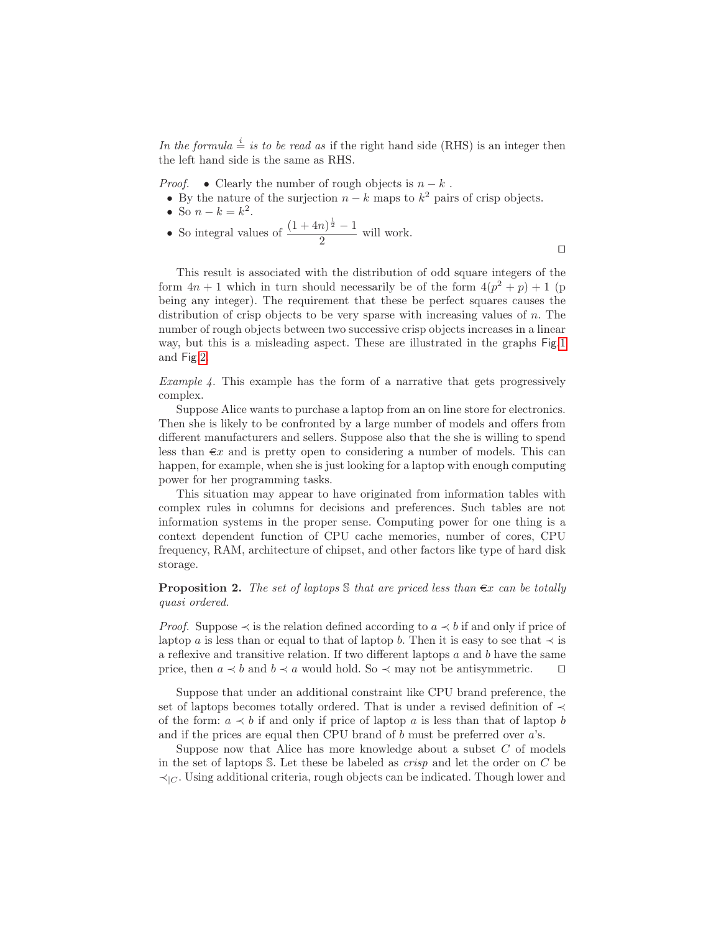In the formula  $\frac{i}{r}$  is to be read as if the right hand side (RHS) is an integer then the left hand side is the same as RHS.

*Proof.* • Clearly the number of rough objects is  $n - k$ .

- By the nature of the surjection  $n k$  maps to  $k^2$  pairs of crisp objects.
- So  $n k = k^2$ .
- So integral values of  $\frac{(1+4n)^{\frac{1}{2}}-1}{2}$  $\frac{1}{2}$  will work.

 $\Box$ 

This result is associated with the distribution of odd square integers of the form  $4n + 1$  which in turn should necessarily be of the form  $4(p^2 + p) + 1$  (p being any integer). The requirement that these be perfect squares causes the distribution of crisp objects to be very sparse with increasing values of  $n$ . The number of rough objects between two successive crisp objects increases in a linear way, but this is a misleading aspect. These are illustrated in the graphs Fig[.1](#page-9-0) and Fig[.2.](#page-10-0)

<span id="page-8-0"></span>Example 4. This example has the form of a narrative that gets progressively complex.

Suppose Alice wants to purchase a laptop from an on line store for electronics. Then she is likely to be confronted by a large number of models and offers from different manufacturers and sellers. Suppose also that the she is willing to spend less than  $\epsilon x$  and is pretty open to considering a number of models. This can happen, for example, when she is just looking for a laptop with enough computing power for her programming tasks.

This situation may appear to have originated from information tables with complex rules in columns for decisions and preferences. Such tables are not information systems in the proper sense. Computing power for one thing is a context dependent function of CPU cache memories, number of cores, CPU frequency, RAM, architecture of chipset, and other factors like type of hard disk storage.

**Proposition 2.** The set of laptops  $\mathcal{S}$  that are priced less than  $\infty$  can be totally quasi ordered.

*Proof.* Suppose  $\prec$  is the relation defined according to  $a \prec b$  if and only if price of laptop a is less than or equal to that of laptop b. Then it is easy to see that  $\prec$  is a reflexive and transitive relation. If two different laptops  $a$  and  $b$  have the same price, then  $a \prec b$  and  $b \prec a$  would hold. So  $\prec$  may not be antisymmetric.  $\Box$ 

Suppose that under an additional constraint like CPU brand preference, the set of laptops becomes totally ordered. That is under a revised definition of ≺ of the form:  $a \prec b$  if and only if price of laptop a is less than that of laptop b and if the prices are equal then CPU brand of  $b$  must be preferred over  $a$ 's.

Suppose now that Alice has more knowledge about a subset  $C$  of models in the set of laptops  $S$ . Let these be labeled as *crisp* and let the order on  $C$  be  $\prec_{C}$ . Using additional criteria, rough objects can be indicated. Though lower and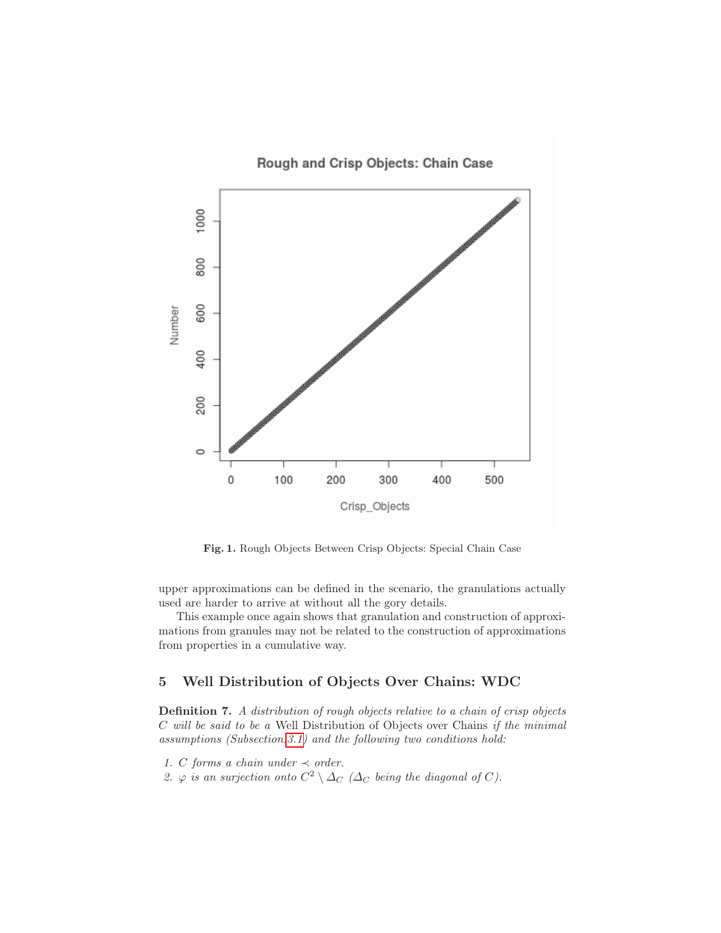

<span id="page-9-0"></span>Fig. 1. Rough Objects Between Crisp Objects: Special Chain Case

upper approximations can be defined in the scenario, the granulations actually used are harder to arrive at without all the gory details.

This example once again shows that granulation and construction of approximations from granules may not be related to the construction of approximations from properties in a cumulative way.

# 5 Well Distribution of Objects Over Chains: WDC

Definition 7. A distribution of rough objects relative to a chain of crisp objects C will be said to be a Well Distribution of Objects over Chains if the minimal assumptions (Subsection[.3.1\)](#page-6-0) and the following two conditions hold:

- 1. C forms a chain under  $\prec$  order.
- 2.  $\varphi$  is an surjection onto  $C^2 \setminus \Delta_C$  ( $\Delta_C$  being the diagonal of C).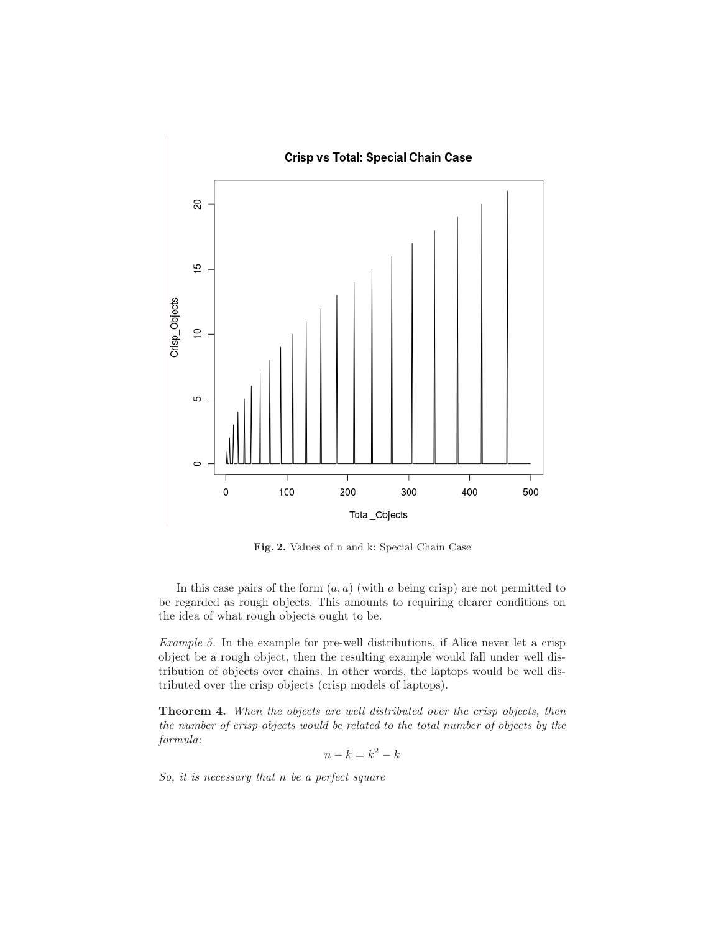

<span id="page-10-0"></span>Fig. 2. Values of n and k: Special Chain Case

In this case pairs of the form  $(a, a)$  (with a being crisp) are not permitted to be regarded as rough objects. This amounts to requiring clearer conditions on the idea of what rough objects ought to be.

<span id="page-10-1"></span>Example 5. In the example for pre-well distributions, if Alice never let a crisp object be a rough object, then the resulting example would fall under well distribution of objects over chains. In other words, the laptops would be well distributed over the crisp objects (crisp models of laptops).

Theorem 4. When the objects are well distributed over the crisp objects, then the number of crisp objects would be related to the total number of objects by the formula:

 $n - k = k^2 - k$ 

So, it is necessary that n be a perfect square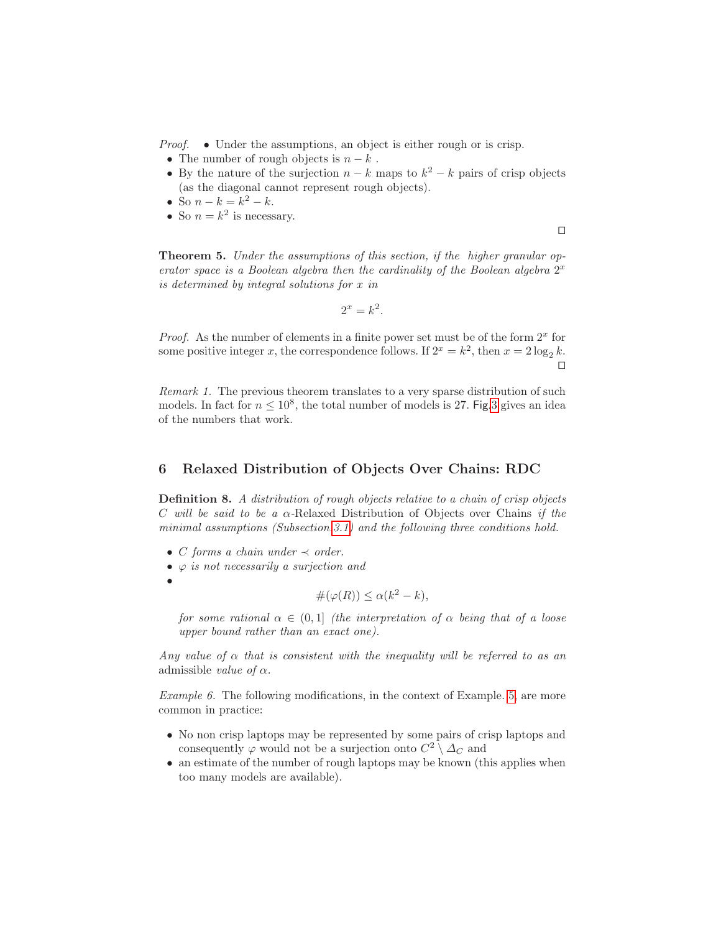Proof. • Under the assumptions, an object is either rough or is crisp.

- The number of rough objects is  $n k$ .
- By the nature of the surjection  $n k$  maps to  $k^2 k$  pairs of crisp objects (as the diagonal cannot represent rough objects).
- So  $n k = k^2 k$ .
- So  $n = k^2$  is necessary.

 $\Box$ 

Theorem 5. Under the assumptions of this section, if the higher granular operator space is a Boolean algebra then the cardinality of the Boolean algebra  $2<sup>x</sup>$ is determined by integral solutions for x in

$$
2^x = k^2.
$$

*Proof.* As the number of elements in a finite power set must be of the form  $2<sup>x</sup>$  for some positive integer x, the correspondence follows. If  $2^x = k^2$ , then  $x = 2 \log_2 k$ .  $\Box$ 

Remark 1. The previous theorem translates to a very sparse distribution of such models. In fact for  $n \leq 10^8$ , the total number of models is 27. Fig.[3](#page-12-0) gives an idea of the numbers that work.

## 6 Relaxed Distribution of Objects Over Chains: RDC

Definition 8. A distribution of rough objects relative to a chain of crisp objects C will be said to be a  $\alpha$ -Relaxed Distribution of Objects over Chains if the minimal assumptions (Subsection[.3.1\)](#page-6-0) and the following three conditions hold.

- C forms a chain under  $\prec$  order.
- $\varphi$  is not necessarily a surjection and
- •

$$
\#(\varphi(R)) \le \alpha(k^2 - k),
$$

for some rational  $\alpha \in (0,1]$  (the interpretation of  $\alpha$  being that of a loose upper bound rather than an exact one).

Any value of  $\alpha$  that is consistent with the inequality will be referred to as an admissible *value of*  $\alpha$ .

Example  $6$ . The following modifications, in the context of Example. [5,](#page-10-1) are more common in practice:

- No non crisp laptops may be represented by some pairs of crisp laptops and consequently  $\varphi$  would not be a surjection onto  $C^2 \setminus \Delta_C$  and
- an estimate of the number of rough laptops may be known (this applies when too many models are available).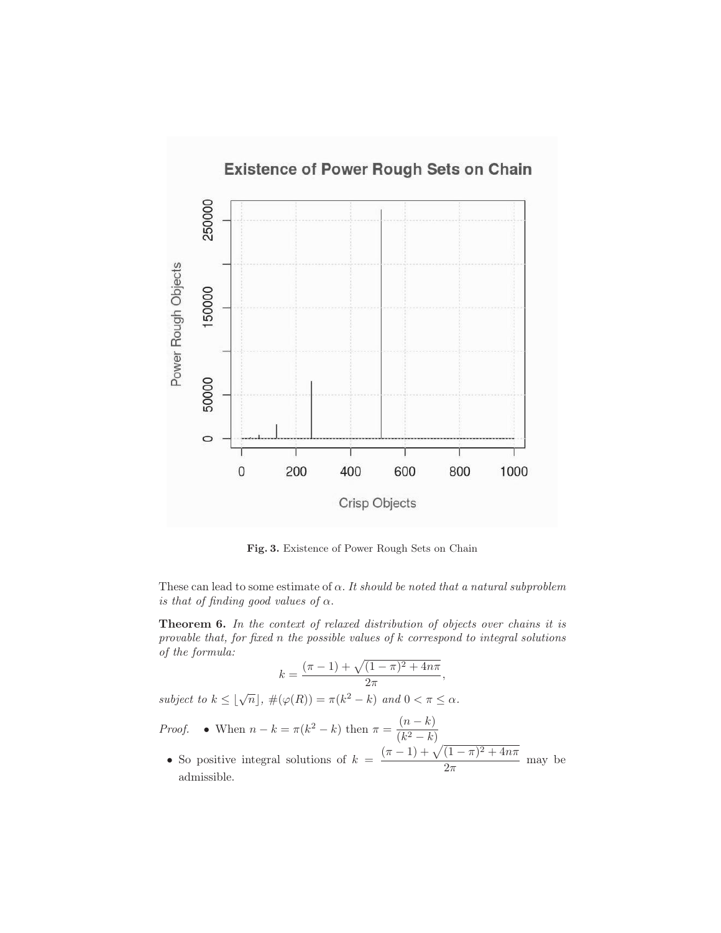

<span id="page-12-0"></span>Fig. 3. Existence of Power Rough Sets on Chain

These can lead to some estimate of  $\alpha$ . It should be noted that a natural subproblem is that of finding good values of  $\alpha$ .

<span id="page-12-1"></span>Theorem 6. In the context of relaxed distribution of objects over chains it is provable that, for fixed n the possible values of k correspond to integral solutions of the formula:

$$
k = \frac{(\pi - 1) + \sqrt{(1 - \pi)^2 + 4n\pi}}{2\pi},
$$

subject to  $k \leq |\sqrt{n}|$ ,  $\#(\varphi(R)) = \pi(k^2 - k)$  and  $0 < \pi \leq \alpha$ .

*Proof.* • When  $n - k = \pi(k^2 - k)$  then  $\pi = \frac{(n - k)}{(12 - k)}$  $(k^2 - k)$ 

• So positive integral solutions of  $k = \frac{(\pi - 1) + \sqrt{(1 - \pi)^2 + 4n\pi}}{2}$  $\frac{(1 - h)^{1 + h n}}{2\pi}$  may be admissible.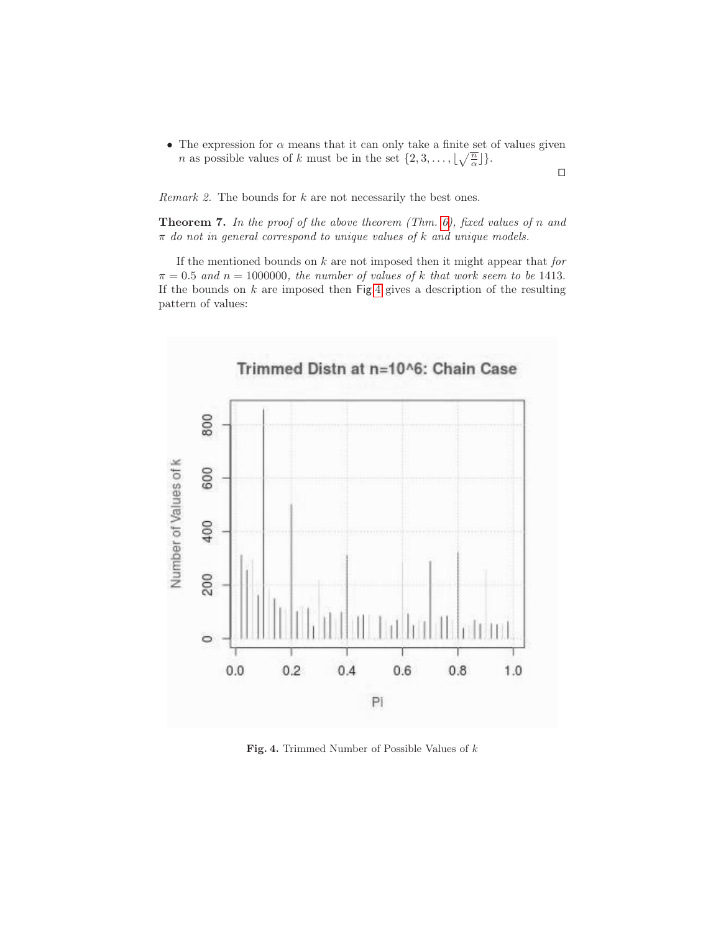• The expression for  $\alpha$  means that it can only take a finite set of values given *n* as possible values of *k* must be in the set  $\{2, 3, ..., \lfloor \sqrt{\frac{n}{\alpha}} \rfloor\}.$ 

Remark 2. The bounds for  $k$  are not necessarily the best ones.

**Theorem 7.** In the proof of the above theorem (Thm. [6\)](#page-12-1), fixed values of n and  $\pi$  do not in general correspond to unique values of k and unique models.

If the mentioned bounds on  $k$  are not imposed then it might appear that for  $\pi = 0.5$  and  $n = 1000000$ , the number of values of k that work seem to be 1413. If the bounds on  $k$  are imposed then Fig.[4](#page-13-0) gives a description of the resulting pattern of values:



<span id="page-13-0"></span>Fig. 4. Trimmed Number of Possible Values of k

 $\Box$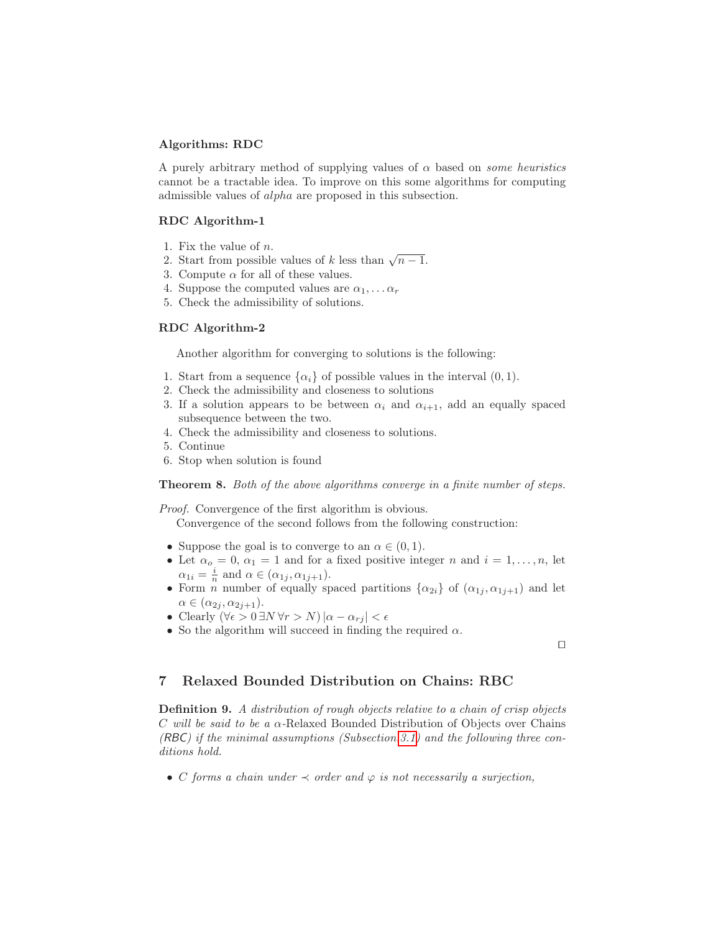#### Algorithms: RDC

A purely arbitrary method of supplying values of  $\alpha$  based on *some heuristics* cannot be a tractable idea. To improve on this some algorithms for computing admissible values of alpha are proposed in this subsection.

## RDC Algorithm-1

- 1. Fix the value of n.
- 1. Fix the value of *n*.<br>2. Start from possible values of *k* less than  $\sqrt{n-1}$ .
- 3. Compute  $\alpha$  for all of these values.
- 4. Suppose the computed values are  $\alpha_1, \ldots, \alpha_r$
- 5. Check the admissibility of solutions.

### RDC Algorithm-2

Another algorithm for converging to solutions is the following:

- 1. Start from a sequence  $\{\alpha_i\}$  of possible values in the interval  $(0, 1)$ .
- 2. Check the admissibility and closeness to solutions
- 3. If a solution appears to be between  $\alpha_i$  and  $\alpha_{i+1}$ , add an equally spaced subsequence between the two.
- 4. Check the admissibility and closeness to solutions.
- 5. Continue
- 6. Stop when solution is found

Theorem 8. Both of the above algorithms converge in a finite number of steps.

Proof. Convergence of the first algorithm is obvious. Convergence of the second follows from the following construction:

- Suppose the goal is to converge to an  $\alpha \in (0,1)$ .
- Let  $\alpha_o = 0, \alpha_1 = 1$  and for a fixed positive integer n and  $i = 1, \ldots, n$ , let  $\alpha_{1i} = \frac{i}{n}$  and  $\alpha \in (\alpha_{1j}, \alpha_{1j+1}).$
- Form n number of equally spaced partitions  $\{\alpha_{2i}\}\$  of  $(\alpha_{1j}, \alpha_{1j+1})$  and let  $\alpha \in (\alpha_{2j}, \alpha_{2j+1}).$
- Clearly  $(\forall \epsilon > 0 \exists N \forall r > N) |\alpha \alpha_{ri}| < \epsilon$
- So the algorithm will succeed in finding the required  $\alpha$ .

 $\Box$ 

# 7 Relaxed Bounded Distribution on Chains: RBC

Definition 9. A distribution of rough objects relative to a chain of crisp objects C will be said to be a  $\alpha$ -Relaxed Bounded Distribution of Objects over Chains (RBC) if the minimal assumptions (Subsection[.3.1\)](#page-6-0) and the following three conditions hold.

• C forms a chain under  $\prec$  order and  $\varphi$  is not necessarily a surjection,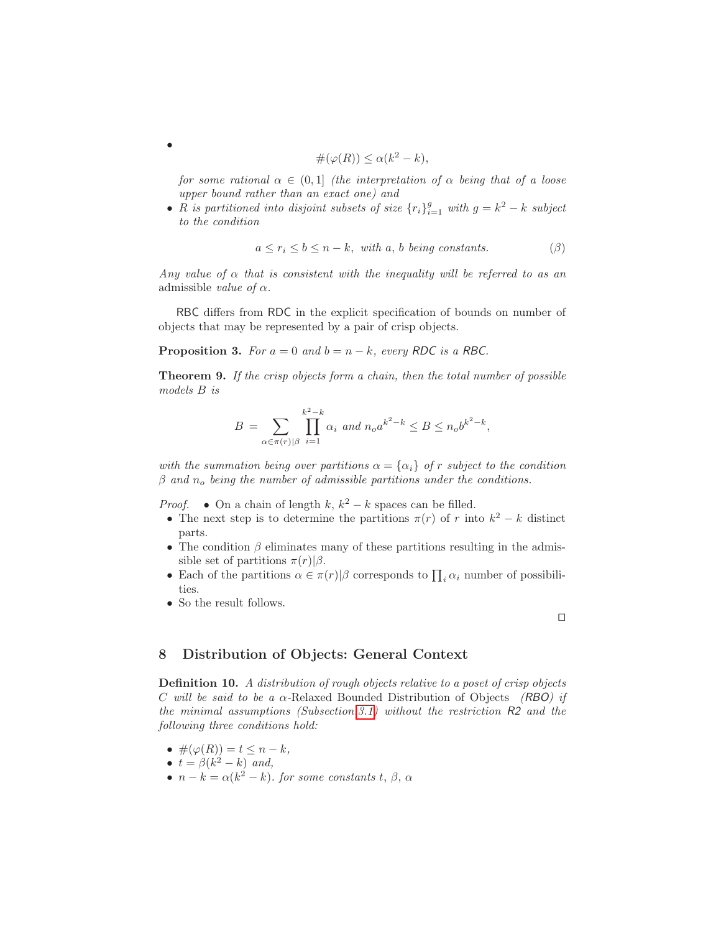$\#(\varphi(R)) \leq \alpha(k^2 - k),$ 

for some rational  $\alpha \in (0,1]$  (the interpretation of  $\alpha$  being that of a loose upper bound rather than an exact one) and

• R is partitioned into disjoint subsets of size  ${r_i}_{i=1}^g$  with  $g = k^2 - k$  subject to the condition

$$
a \le r_i \le b \le n - k, \text{ with } a, b \text{ being constants.} \tag{β}
$$

Any value of  $\alpha$  that is consistent with the inequality will be referred to as an admissible *value of*  $\alpha$ .

RBC differs from RDC in the explicit specification of bounds on number of objects that may be represented by a pair of crisp objects.

**Proposition 3.** For  $a = 0$  and  $b = n - k$ , every RDC is a RBC.

Theorem 9. If the crisp objects form a chain, then the total number of possible models B is

$$
B = \sum_{\alpha \in \pi(r)|\beta} \prod_{i=1}^{k^2 - k} \alpha_i \text{ and } n_o a^{k^2 - k} \le B \le n_o b^{k^2 - k},
$$

with the summation being over partitions  $\alpha = {\alpha_i}$  of r subject to the condition  $\beta$  and  $n_o$  being the number of admissible partitions under the conditions.

*Proof.* • On a chain of length k,  $k^2 - k$  spaces can be filled.

- The next step is to determine the partitions  $\pi(r)$  of r into  $k^2 k$  distinct parts.
- The condition  $\beta$  eliminates many of these partitions resulting in the admissible set of partitions  $\pi(r)|\beta$ .
- Each of the partitions  $\alpha \in \pi(r)|\beta$  corresponds to  $\prod_i \alpha_i$  number of possibilities.
- So the result follows.

 $\Box$ 

# 8 Distribution of Objects: General Context

Definition 10. A distribution of rough objects relative to a poset of crisp objects C will be said to be a  $\alpha$ -Relaxed Bounded Distribution of Objects (RBO) if the minimal assumptions (Subsection[.3.1\)](#page-6-0) without the restriction R2 and the following three conditions hold:

- $\#(\varphi(R)) = t \leq n k$ ,
- $t = \beta(k^2 k)$  and,
- $n k = \alpha(k^2 k)$ . for some constants t,  $\beta$ ,  $\alpha$

•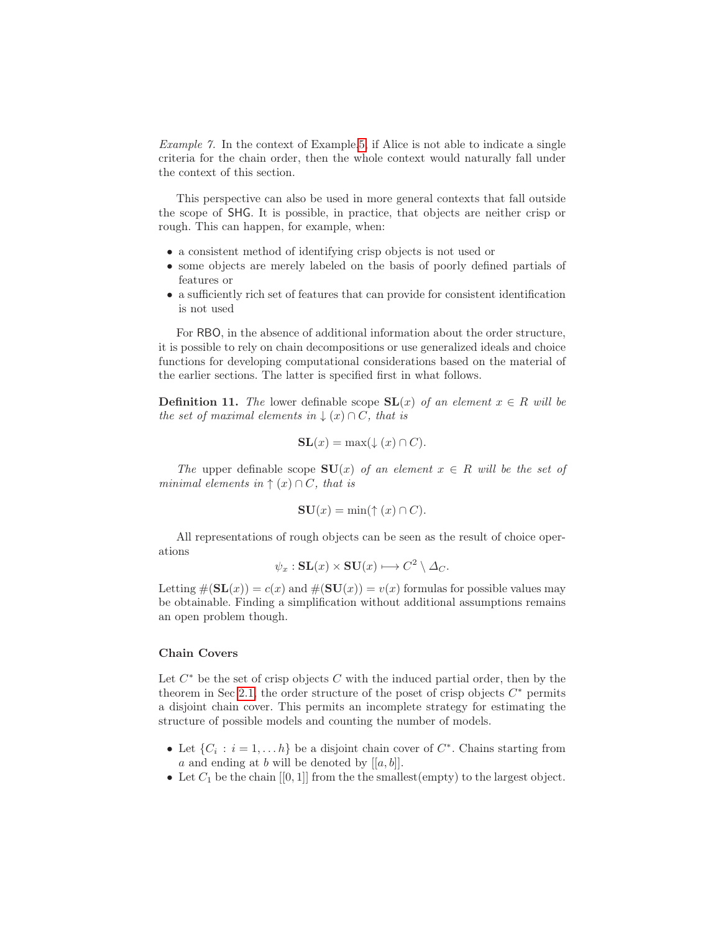Example 7. In the context of Example[.5,](#page-10-1) if Alice is not able to indicate a single criteria for the chain order, then the whole context would naturally fall under the context of this section.

This perspective can also be used in more general contexts that fall outside the scope of SHG. It is possible, in practice, that objects are neither crisp or rough. This can happen, for example, when:

- a consistent method of identifying crisp objects is not used or
- some objects are merely labeled on the basis of poorly defined partials of features or
- a sufficiently rich set of features that can provide for consistent identification is not used

For RBO, in the absence of additional information about the order structure, it is possible to rely on chain decompositions or use generalized ideals and choice functions for developing computational considerations based on the material of the earlier sections. The latter is specified first in what follows.

**Definition 11.** The lower definable scope  $SL(x)$  of an element  $x \in R$  will be the set of maximal elements in  $\downarrow$  (x)  $\cap$  C, that is

$$
SL(x) = \max(\downarrow (x) \cap C).
$$

The upper definable scope  $SU(x)$  of an element  $x \in R$  will be the set of minimal elements in  $\uparrow$   $(x) \cap C$ , that is

$$
SU(x) = \min(\uparrow(x) \cap C).
$$

All representations of rough objects can be seen as the result of choice operations

$$
\psi_x : \mathbf{SL}(x) \times \mathbf{SU}(x) \longmapsto C^2 \setminus \Delta_C.
$$

Letting  $\#(\mathbf{SL}(x)) = c(x)$  and  $\#(\mathbf{SU}(x)) = v(x)$  formulas for possible values may be obtainable. Finding a simplification without additional assumptions remains an open problem though.

## Chain Covers

Let  $C^*$  be the set of crisp objects  $C$  with the induced partial order, then by the theorem in Sec [2.1,](#page-3-0) the order structure of the poset of crisp objects  $C^*$  permits a disjoint chain cover. This permits an incomplete strategy for estimating the structure of possible models and counting the number of models.

- Let  $\{C_i : i = 1, \ldots h\}$  be a disjoint chain cover of  $C^*$ . Chains starting from a and ending at b will be denoted by  $[[a, b]].$
- Let  $C_1$  be the chain  $[0, 1]$  from the the smallest(empty) to the largest object.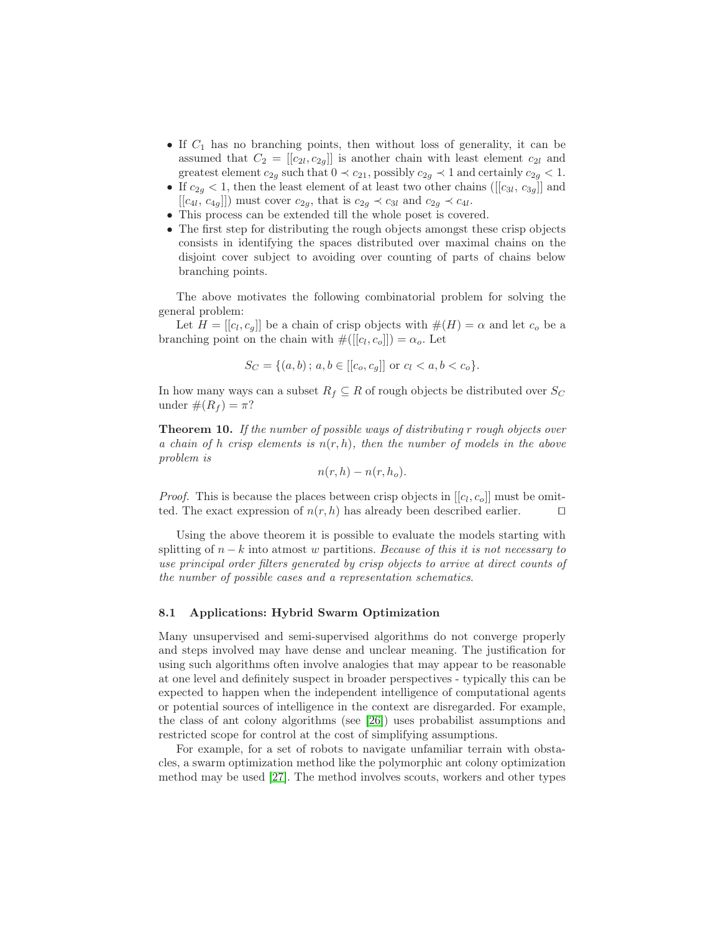- If  $C_1$  has no branching points, then without loss of generality, it can be assumed that  $C_2 = [[c_{2l}, c_{2g}]]$  is another chain with least element  $c_{2l}$  and greatest element  $c_{2g}$  such that  $0 \prec c_{21}$ , possibly  $c_{2g} \prec 1$  and certainly  $c_{2g} \prec 1$ .
- If  $c_{2g} < 1$ , then the least element of at least two other chains ([[ $c_{3l}, c_{3g}$ ]] and  $[[c_{4l}, c_{4g}]]$  must cover  $c_{2g}$ , that is  $c_{2g} \prec c_{3l}$  and  $c_{2g} \prec c_{4l}$ .
- This process can be extended till the whole poset is covered.
- The first step for distributing the rough objects amongst these crisp objects consists in identifying the spaces distributed over maximal chains on the disjoint cover subject to avoiding over counting of parts of chains below branching points.

The above motivates the following combinatorial problem for solving the general problem:

Let  $H = [[c_l, c_g]]$  be a chain of crisp objects with  $\#(H) = \alpha$  and let  $c_o$  be a branching point on the chain with  $\#([[c_l, c_o]]) = \alpha_o$ . Let

$$
S_C = \{(a, b); a, b \in [[c_o, c_g]] \text{ or } c_l < a, b < c_o\}.
$$

In how many ways can a subset  $R_f \subseteq R$  of rough objects be distributed over  $S_C$ under  $\#(R_f) = \pi$ ?

**Theorem 10.** If the number of possible ways of distributing r rough objects over a chain of h crisp elements is  $n(r, h)$ , then the number of models in the above problem is

$$
n(r,h) - n(r,h_o).
$$

*Proof.* This is because the places between crisp objects in  $[[c_l, c_o]]$  must be omitted. The exact expression of  $n(r, h)$  has already been described earlier.  $\Box$ 

Using the above theorem it is possible to evaluate the models starting with splitting of  $n - k$  into atmost w partitions. Because of this it is not necessary to use principal order filters generated by crisp objects to arrive at direct counts of the number of possible cases and a representation schematics.

#### 8.1 Applications: Hybrid Swarm Optimization

Many unsupervised and semi-supervised algorithms do not converge properly and steps involved may have dense and unclear meaning. The justification for using such algorithms often involve analogies that may appear to be reasonable at one level and definitely suspect in broader perspectives - typically this can be expected to happen when the independent intelligence of computational agents or potential sources of intelligence in the context are disregarded. For example, the class of ant colony algorithms (see [\[26\]](#page-19-19)) uses probabilist assumptions and restricted scope for control at the cost of simplifying assumptions.

For example, for a set of robots to navigate unfamiliar terrain with obstacles, a swarm optimization method like the polymorphic ant colony optimization method may be used [\[27\]](#page-19-20). The method involves scouts, workers and other types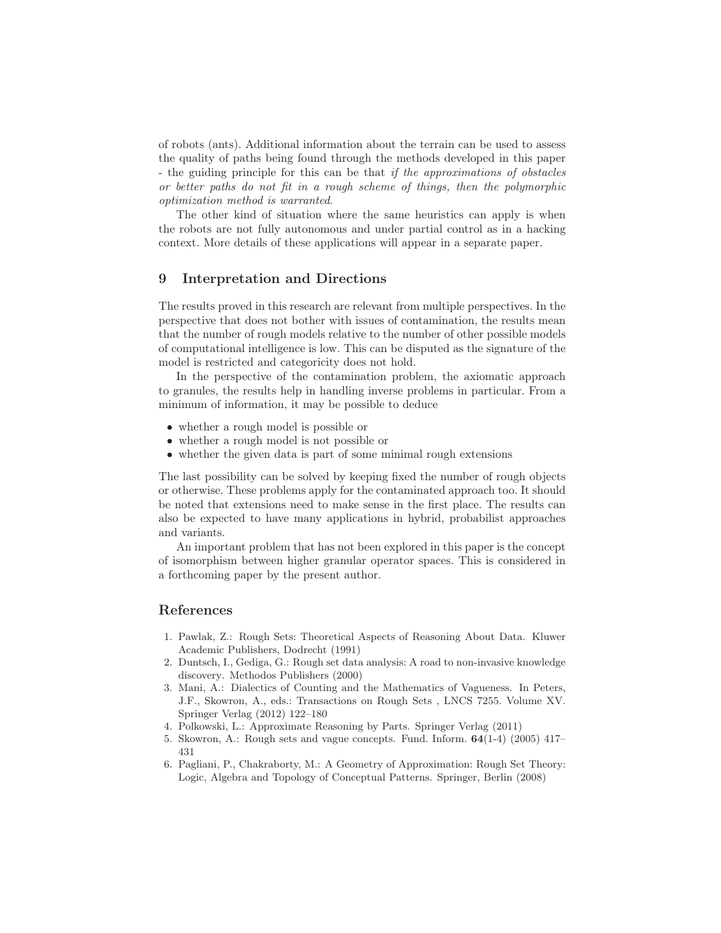of robots (ants). Additional information about the terrain can be used to assess the quality of paths being found through the methods developed in this paper - the guiding principle for this can be that if the approximations of obstacles or better paths do not fit in a rough scheme of things, then the polymorphic optimization method is warranted.

The other kind of situation where the same heuristics can apply is when the robots are not fully autonomous and under partial control as in a hacking context. More details of these applications will appear in a separate paper.

# 9 Interpretation and Directions

The results proved in this research are relevant from multiple perspectives. In the perspective that does not bother with issues of contamination, the results mean that the number of rough models relative to the number of other possible models of computational intelligence is low. This can be disputed as the signature of the model is restricted and categoricity does not hold.

In the perspective of the contamination problem, the axiomatic approach to granules, the results help in handling inverse problems in particular. From a minimum of information, it may be possible to deduce

- whether a rough model is possible or
- whether a rough model is not possible or
- whether the given data is part of some minimal rough extensions

The last possibility can be solved by keeping fixed the number of rough objects or otherwise. These problems apply for the contaminated approach too. It should be noted that extensions need to make sense in the first place. The results can also be expected to have many applications in hybrid, probabilist approaches and variants.

An important problem that has not been explored in this paper is the concept of isomorphism between higher granular operator spaces. This is considered in a forthcoming paper by the present author.

# References

- <span id="page-18-0"></span>1. Pawlak, Z.: Rough Sets: Theoretical Aspects of Reasoning About Data. Kluwer Academic Publishers, Dodrecht (1991)
- <span id="page-18-1"></span>2. Duntsch, I., Gediga, G.: Rough set data analysis: A road to non-invasive knowledge discovery. Methodos Publishers (2000)
- <span id="page-18-2"></span>3. Mani, A.: Dialectics of Counting and the Mathematics of Vagueness. In Peters, J.F., Skowron, A., eds.: Transactions on Rough Sets , LNCS 7255. Volume XV. Springer Verlag (2012) 122–180
- <span id="page-18-3"></span>4. Polkowski, L.: Approximate Reasoning by Parts. Springer Verlag (2011)
- <span id="page-18-4"></span>5. Skowron, A.: Rough sets and vague concepts. Fund. Inform. 64(1-4) (2005) 417– 431
- <span id="page-18-5"></span>6. Pagliani, P., Chakraborty, M.: A Geometry of Approximation: Rough Set Theory: Logic, Algebra and Topology of Conceptual Patterns. Springer, Berlin (2008)